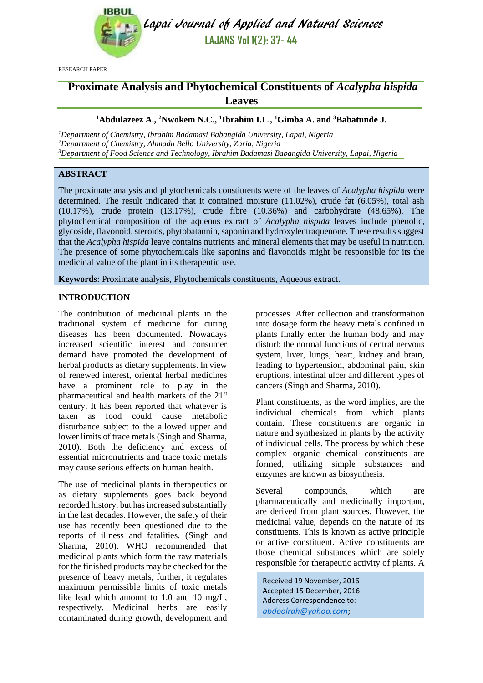

Lapai Journal of Applied and Natural Sciences **LAJANS Vol 1(2): 37- 44**

RESEARCH PAPER

# **Proximate Analysis and Phytochemical Constituents of** *Acalypha hispida* **Leaves**

### **<sup>1</sup>Abdulazeez A., <sup>2</sup>Nwokem N.C., 1 Ibrahim I.L., <sup>1</sup>Gimba A. and <sup>3</sup>Babatunde J.**

*<sup>1</sup>Department of Chemistry, Ibrahim Badamasi Babangida University, Lapai, Nigeria <sup>2</sup>Department of Chemistry, Ahmadu Bello University, Zaria, Nigeria <sup>3</sup>Department of Food Science and Technology, Ibrahim Badamasi Babangida University, Lapai, Nigeria* 

# **ABSTRACT**

The proximate analysis and phytochemicals constituents were of the leaves of *Acalypha hispida* were determined. The result indicated that it contained moisture (11.02%), crude fat (6.05%), total ash (10.17%), crude protein (13.17%), crude fibre (10.36%) and carbohydrate (48.65%). The phytochemical composition of the aqueous extract of *Acalypha hispida* leaves include phenolic, glycoside, flavonoid, steroids, phytobatannin, saponin and hydroxylentraquenone. These results suggest that the *Acalypha hispida* leave contains nutrients and mineral elements that may be useful in nutrition. The presence of some phytochemicals like saponins and flavonoids might be responsible for its the medicinal value of the plant in its therapeutic use.

**Keywords**: Proximate analysis, Phytochemicals constituents, Aqueous extract.

### **INTRODUCTION**

The contribution of medicinal plants in the traditional system of medicine for curing diseases has been documented. Nowadays increased scientific interest and consumer demand have promoted the development of herbal products as dietary supplements. In view of renewed interest, oriental herbal medicines have a prominent role to play in the pharmaceutical and health markets of the 21st century. It has been reported that whatever is taken as food could cause metabolic disturbance subject to the allowed upper and lower limits of trace metals (Singh and Sharma, 2010). Both the deficiency and excess of essential micronutrients and trace toxic metals may cause serious effects on human health.

The use of medicinal plants in therapeutics or as dietary supplements goes back beyond recorded history, but has increased substantially in the last decades. However, the safety of their use has recently been questioned due to the reports of illness and fatalities. (Singh and Sharma, 2010). WHO recommended that medicinal plants which form the raw materials for the finished products may be checked for the presence of heavy metals, further, it regulates maximum permissible limits of toxic metals like lead which amount to 1.0 and 10 mg/L, respectively. Medicinal herbs are easily contaminated during growth, development and processes. After collection and transformation into dosage form the heavy metals confined in plants finally enter the human body and may disturb the normal functions of central nervous system, liver, lungs, heart, kidney and brain, leading to hypertension, abdominal pain, skin eruptions, intestinal ulcer and different types of cancers (Singh and Sharma, 2010).

Plant constituents, as the word implies, are the individual chemicals from which plants contain. These constituents are organic in nature and synthesized in plants by the activity of individual cells. The process by which these complex organic chemical constituents are formed, utilizing simple substances and enzymes are known as biosynthesis.

Several compounds, which are pharmaceutically and medicinally important, are derived from plant sources. However, the medicinal value, depends on the nature of its constituents. This is known as active principle or active constituent. Active constituents are those chemical substances which are solely responsible for therapeutic activity of plants. A

Received 19 November, 2016 Accepted 15 December, 2016 Address Correspondence to: *[abdoolrah@yahoo.com](mailto:abdoolrah@yahoo.com)*;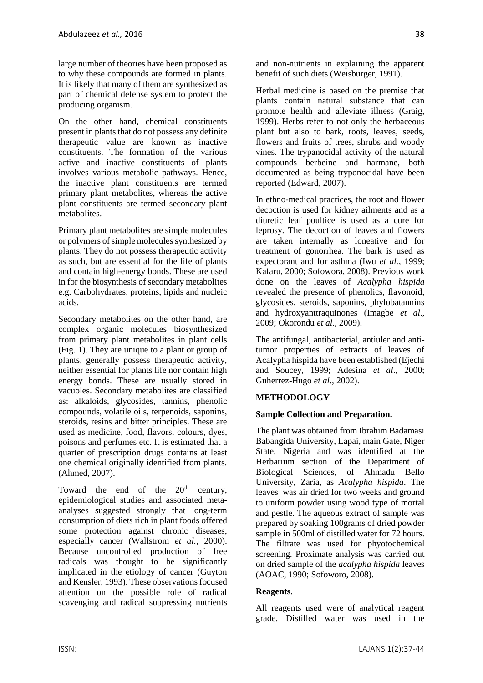large number of theories have been proposed as to why these compounds are formed in plants. It is likely that many of them are synthesized as part of chemical defense system to protect the producing organism.

On the other hand, chemical constituents present in plants that do not possess any definite therapeutic value are known as inactive constituents. The formation of the various active and inactive constituents of plants involves various metabolic pathways. Hence, the inactive plant constituents are termed primary plant metabolites, whereas the active plant constituents are termed secondary plant metabolites.

Primary plant metabolites are simple molecules or polymers of simple molecules synthesized by plants. They do not possess therapeutic activity as such, but are essential for the life of plants and contain high-energy bonds. These are used in for the biosynthesis of secondary metabolites e.g. Carbohydrates, proteins, lipids and nucleic acids.

Secondary metabolites on the other hand, are complex organic molecules biosynthesized from primary plant metabolites in plant cells (Fig. 1). They are unique to a plant or group of plants, generally possess therapeutic activity, neither essential for plants life nor contain high energy bonds. These are usually stored in vacuoles. Secondary metabolites are classified as: alkaloids, glycosides, tannins, phenolic compounds, volatile oils, terpenoids, saponins, steroids, resins and bitter principles. These are used as medicine, food, flavors, colours, dyes, poisons and perfumes etc. It is estimated that a quarter of prescription drugs contains at least one chemical originally identified from plants. (Ahmed, 2007).

Toward the end of the  $20<sup>th</sup>$  century, epidemiological studies and associated metaanalyses suggested strongly that long-term consumption of diets rich in plant foods offered some protection against chronic diseases, especially cancer (Wallstrom *et al.*, 2000). Because uncontrolled production of free radicals was thought to be significantly implicated in the etiology of cancer (Guyton and Kensler, 1993). These observations focused attention on the possible role of radical scavenging and radical suppressing nutrients and non-nutrients in explaining the apparent benefit of such diets (Weisburger, 1991).

Herbal medicine is based on the premise that plants contain natural substance that can promote health and alleviate illness (Graig, 1999). Herbs refer to not only the herbaceous plant but also to bark, roots, leaves, seeds, flowers and fruits of trees, shrubs and woody vines. The trypanocidal activity of the natural compounds berbeine and harmane, both documented as being tryponocidal have been reported (Edward, 2007).

In ethno-medical practices, the root and flower decoction is used for kidney ailments and as a diuretic leaf poultice is used as a cure for leprosy. The decoction of leaves and flowers are taken internally as loneative and for treatment of gonorrhea. The bark is used as expectorant and for asthma (Iwu *et al.,* 1999; Kafaru, 2000; Sofowora, 2008). Previous work done on the leaves of *Acalypha hispida* revealed the presence of phenolics, flavonoid, glycosides, steroids, saponins, phylobatannins and hydroxyanttraquinones (Imagbe *et al*., 2009; Okorondu *et al*., 2009).

The antifungal, antibacterial, antiuler and antitumor properties of extracts of leaves of Acalypha hispida have been established (Ejechi and Soucey, 1999; Adesina *et al*., 2000; Guherrez-Hugo *et al*., 2002).

### **METHODOLOGY**

#### **Sample Collection and Preparation.**

The plant was obtained from Ibrahim Badamasi Babangida University, Lapai, main Gate, Niger State, Nigeria and was identified at the Herbarium section of the Department of Biological Sciences, of Ahmadu Bello University, Zaria, as *Acalypha hispida*. The leaves was air dried for two weeks and ground to uniform powder using wood type of mortal and pestle. The aqueous extract of sample was prepared by soaking 100grams of dried powder sample in 500ml of distilled water for 72 hours. The filtrate was used for phyotochemical screening. Proximate analysis was carried out on dried sample of the *acalypha hispida* leaves (AOAC, 1990; Sofoworo, 2008).

#### **Reagents**.

All reagents used were of analytical reagent grade. Distilled water was used in the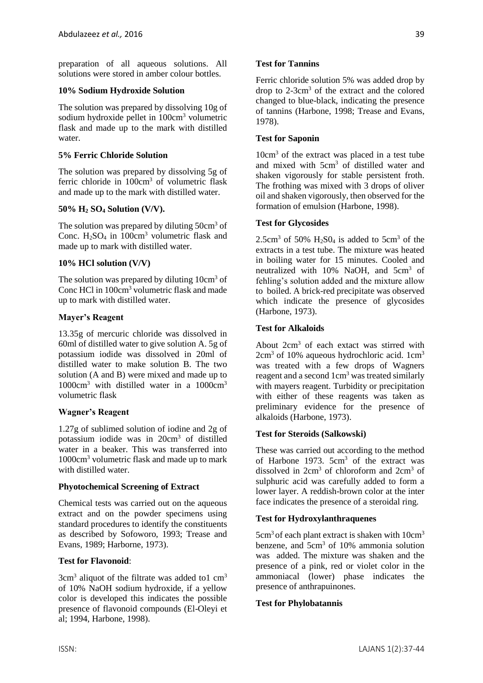preparation of all aqueous solutions. All solutions were stored in amber colour bottles.

#### **10% Sodium Hydroxide Solution**

The solution was prepared by dissolving 10g of sodium hydroxide pellet in 100cm<sup>3</sup> volumetric flask and made up to the mark with distilled water.

### **5% Ferric Chloride Solution**

The solution was prepared by dissolving 5g of ferric chloride in 100cm<sup>3</sup> of volumetric flask and made up to the mark with distilled water.

### **50% H<sup>2</sup> SO<sup>4</sup> Solution (V/V).**

The solution was prepared by diluting 50cm<sup>3</sup> of Conc.  $H_2SO_4$  in  $100cm^3$  volumetric flask and made up to mark with distilled water.

### **10% HCl solution (V/V)**

The solution was prepared by diluting 10cm<sup>3</sup> of Conc HCl in 100cm<sup>3</sup> volumetric flask and made up to mark with distilled water.

### **Mayer's Reagent**

13.35g of mercuric chloride was dissolved in 60ml of distilled water to give solution A. 5g of potassium iodide was dissolved in 20ml of distilled water to make solution B. The two solution (A and B) were mixed and made up to  $1000 \text{cm}^3$  with distilled water in a  $1000 \text{cm}^3$ volumetric flask

### **Wagner's Reagent**

1.27g of sublimed solution of iodine and 2g of potassium iodide was in 20cm<sup>3</sup> of distilled water in a beaker. This was transferred into 1000cm<sup>3</sup> volumetric flask and made up to mark with distilled water.

#### **Phyotochemical Screening of Extract**

Chemical tests was carried out on the aqueous extract and on the powder specimens using standard procedures to identify the constituents as described by Sofoworo, 1993; Trease and Evans, 1989; Harborne, 1973).

### **Test for Flavonoid**:

 $3cm<sup>3</sup>$  aliquot of the filtrate was added to1 cm<sup>3</sup> of 10% NaOH sodium hydroxide, if a yellow color is developed this indicates the possible presence of flavonoid compounds (El-Oleyi et al; 1994, Harbone, 1998).

Ferric chloride solution 5% was added drop by drop to 2-3cm<sup>3</sup> of the extract and the colored changed to blue-black, indicating the presence of tannins (Harbone, 1998; Trease and Evans, 1978).

### **Test for Saponin**

10cm<sup>3</sup> of the extract was placed in a test tube and mixed with 5cm<sup>3</sup> of distilled water and shaken vigorously for stable persistent froth. The frothing was mixed with 3 drops of oliver oil and shaken vigorously, then observed for the formation of emulsion (Harbone, 1998).

### **Test for Glycosides**

2.5cm<sup>3</sup> of 50%  $H_2$ SO<sub>4</sub> is added to 5cm<sup>3</sup> of the extracts in a test tube. The mixture was heated in boiling water for 15 minutes. Cooled and neutralized with 10% NaOH, and 5cm<sup>3</sup> of fehling's solution added and the mixture allow to boiled. A brick-red precipitate was observed which indicate the presence of glycosides (Harbone, 1973).

### **Test for Alkaloids**

About 2cm<sup>3</sup> of each extact was stirred with  $2cm<sup>3</sup>$  of 10% aqueous hydrochloric acid. 1cm<sup>3</sup> was treated with a few drops of Wagners reagent and a second 1cm<sup>3</sup> was treated similarly with mayers reagent. Turbidity or precipitation with either of these reagents was taken as preliminary evidence for the presence of alkaloids (Harbone, 1973).

#### **Test for Steroids (Salkowski)**

These was carried out according to the method of Harbone 1973. 5cm<sup>3</sup> of the extract was dissolved in  $2cm<sup>3</sup>$  of chloroform and  $2cm<sup>3</sup>$  of sulphuric acid was carefully added to form a lower layer. A reddish-brown color at the inter face indicates the presence of a steroidal ring.

### **Test for Hydroxylanthraquenes**

 $5cm<sup>3</sup>$  of each plant extract is shaken with  $10cm<sup>3</sup>$ benzene, and  $5cm<sup>3</sup>$  of 10% ammonia solution was added. The mixture was shaken and the presence of a pink, red or violet color in the ammoniacal (lower) phase indicates the presence of anthrapuinones.

#### **Test for Phylobatannis**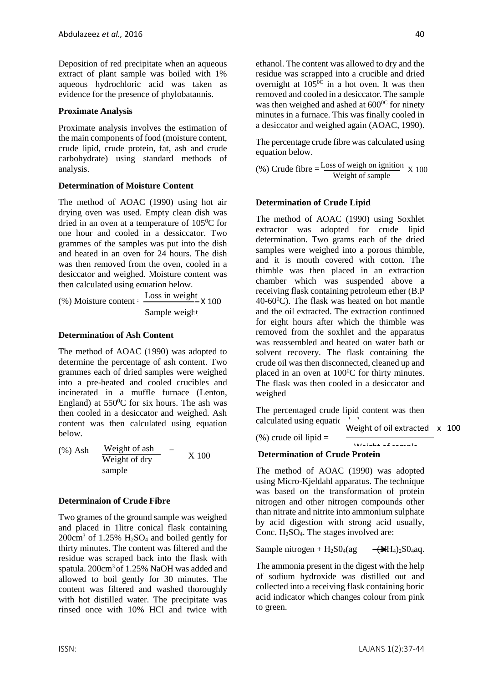Deposition of red precipitate when an aqueous extract of plant sample was boiled with 1% aqueous hydrochloric acid was taken as evidence for the presence of phylobatannis.

### **Proximate Analysis**

Proximate analysis involves the estimation of the main components of food (moisture content, crude lipid, crude protein, fat, ash and crude carbohydrate) using standard methods of analysis.

### **Determination of Moisture Content**

The method of AOAC (1990) using hot air drying oven was used. Empty clean dish was dried in an oven at a temperature of  $105\textdegree C$  for one hour and cooled in a dessiccator. Two grammes of the samples was put into the dish and heated in an oven for 24 hours. The dish was then removed from the oven, cooled in a desiccator and weighed. Moisture content was then calculated using equation below.

(%) Moisture content =  $\frac{\text{Loss in weight}}{\text{100}}$  × 100 Sample weight

### **Determination of Ash Content**

The method of AOAC (1990) was adopted to determine the percentage of ash content. Two grammes each of dried samples were weighed into a pre-heated and cooled crucibles and incinerated in a muffle furnace (Lenton, England) at  $550^{\circ}$ C for six hours. The ash was then cooled in a desiccator and weighed. Ash content was then calculated using equation below.

 $(\%)$  Ash Weight of ash  $=$ Weight of dry sample X 100

#### **Determinaion of Crude Fibre**

Two grames of the ground sample was weighed and placed in 1litre conical flask containing  $200 \text{cm}^3$  of 1.25% H<sub>2</sub>SO<sub>4</sub> and boiled gently for thirty minutes. The content was filtered and the residue was scraped back into the flask with spatula. 200cm<sup>3</sup> of 1.25% NaOH was added and allowed to boil gently for 30 minutes. The content was filtered and washed thoroughly with hot distilled water. The precipitate was rinsed once with 10% HCl and twice with ethanol. The content was allowed to dry and the residue was scrapped into a crucible and dried overnight at  $105^{\overline{0}\overline{C}}$  in a hot oven. It was then removed and cooled in a desiccator. The sample was then weighed and ashed at  $600^{\circ}$  for ninety minutes in a furnace. This was finally cooled in a desiccator and weighed again (AOAC, 1990).

The percentage crude fibre was calculated using equation below.

(%) Crude fibre  $=\frac{\text{Loss of weight on }$  ignition  $\frac{1}{\text{Weight of sample}}$  X 100

### **Determination of Crude Lipid**

The method of AOAC (1990) using Soxhlet extractor was adopted for crude lipid determination. Two grams each of the dried samples were weighed into a porous thimble, and it is mouth covered with cotton. The thimble was then placed in an extraction chamber which was suspended above a receiving flask containing petroleum ether (B.P  $40-60^{\circ}$ C). The flask was heated on hot mantle and the oil extracted. The extraction continued for eight hours after which the thimble was removed from the soxhlet and the apparatus was reassembled and heated on water bath or solvent recovery. The flask containing the crude oil was then disconnected, cleaned up and placed in an oven at  $100^{\circ}$ C for thirty minutes. The flask was then cooled in a desiccator and weighed

The percentaged crude lipid content was then calculated using equation

 $(\%)$  crude oil lipid =

Weight of oil extracted x 100

 $W_{\alpha}$  is later of sample

# **Determination of Crude Protein**

The method of AOAC (1990) was adopted using Micro-Kjeldahl apparatus. The technique was based on the transformation of protein nitrogen and other nitrogen compounds other than nitrate and nitrite into ammonium sulphate by acid digestion with strong acid usually, Conc. H<sub>2</sub>SO<sub>4</sub>. The stages involved are:

Sample nitrogen +  $H_2SO_4$ (ag  $\rightarrow$   $\rightarrow$   $\rightarrow$   $H_4$ )<sub>2</sub>S0<sub>4</sub>aq.

The ammonia present in the digest with the help of sodium hydroxide was distilled out and collected into a receiving flask containing boric acid indicator which changes colour from pink to green.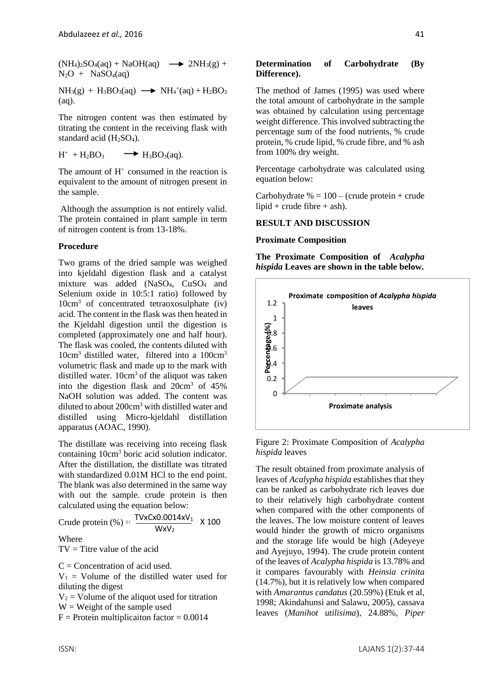$(NH_4)_2SO_4(aq) + NaOH(aq) \longrightarrow 2NH_3(g) +$  $N_2O + NaSO_4(aq)$ 

 $NH<sub>3</sub>(g) + H<sub>3</sub>BO<sub>3</sub>(aq) \longrightarrow NH<sub>4</sub><sup>+</sup>(aq) + H<sub>2</sub>BO<sub>3</sub>$ (aq).

The nitrogen content was then estimated by titrating the content in the receiving flask with standard acid (H2SO4).

 $H^+ + H_2BO_3$  $\rightarrow$  H<sub>3</sub>BO<sub>3</sub>(aq).

The amount of  $H^+$  consumed in the reaction is equivalent to the amount of nitrogen present in the sample.

Although the assumption is not entirely valid. The protein contained in plant sample in term of nitrogen content is from 13-18%.

### **Procedure**

Two grams of the dried sample was weighed into kjeldahl digestion flask and a catalyst mixture was added (NaSO<sub>4</sub>, CuSO<sub>4</sub> and Selenium oxide in 10:5:1 ratio) followed by 10cm<sup>3</sup> of concentrated tetraoxosulphate (iv) acid. The content in the flask was then heated in the Kjeldahl digestion until the digestion is completed (approximately one and half hour). The flask was cooled, the contents diluted with 10cm<sup>3</sup> distilled water, filtered into a 100cm<sup>3</sup> volumetric flask and made up to the mark with distilled water. 10cm<sup>3</sup> of the aliquot was taken into the digestion flask and 20cm<sup>3</sup> of 45% NaOH solution was added. The content was diluted to about 200cm<sup>3</sup> with distilled water and distilled using Micro-kjeldahl distillation apparatus (AOAC, 1990).

The distillate was receiving into receing flask containing 10cm<sup>3</sup> boric acid solution indicator. After the distillation, the distillate was titrated with standardized 0.01M HCl to the end point. The blank was also determined in the same way with out the sample. crude protein is then calculated using the equation below:

Crude protein  $\left(\% \right) = \frac{\text{TVxc} \times 0.0014 \times \text{V}_1}{\text{TV} \times \text{V}_1}$  $WxV<sub>2</sub>$ X 100

Where

 $TV =$  Titre value of the acid

 $C =$ Concentration of acid used.

 $V_1$  = Volume of the distilled water used for diluting the digest

 $V_2$  = Volume of the aliquot used for titration

 $W = Weight of the sample used$ 

 $F =$  Protein multiplicaiton factor = 0.0014

#### **Determination of Carbohydrate (By Difference).**

The method of James (1995) was used where the total amount of carbohydrate in the sample was obtained by calculation using percentage weight difference. This involved subtracting the percentage sum of the food nutrients, % crude protein, % crude lipid, % crude fibre, and % ash from 100% dry weight.

Percentage carbohydrate was calculated using equation below:

Carbohydrate  $% = 100 - (crude protein + crude)$ lipid + crude fibre + ash).

### **RESULT AND DISCUSSION**

#### **Proximate Composition**

**The Proximate Composition of** *Acalypha hispida* **Leaves are shown in the table below.**



Figure 2: Proximate Composition of *Acalypha hispida* leaves

The result obtained from proximate analysis of leaves of *Acalypha hispida* establishes that they can be ranked as carbohydrate rich leaves due to their relatively high carbohydrate content when compared with the other components of the leaves. The low moisture content of leaves would hinder the growth of micro organisms and the storage life would be high (Adeyeye and Ayejuyo, 1994). The crude protein content of the leaves of *Acalypha hispida* is 13.78% and it compares favourably with *Heinsia crinita* (14.7%), but it is relatively low when compared with *Amarantus candatus* (20.59%) (Etuk et al, 1998; Akindahunsi and Salawu, 2005), cassava leaves (*Manihot utilisima*), 24.88%, *Piper*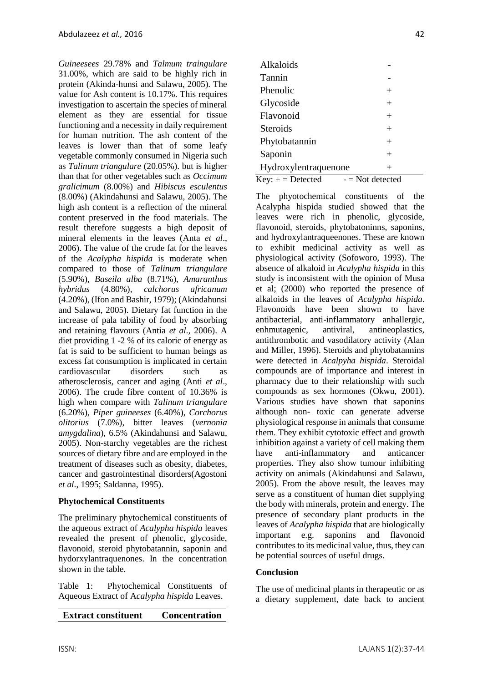*Guineesees* 29.78% and *Talmum traingulare* 31.00%, which are said to be highly rich in protein (Akinda-hunsi and Salawu, 2005). The value for Ash content is 10.17%. This requires investigation to ascertain the species of mineral element as they are essential for tissue functioning and a necessity in daily requirement for human nutrition. The ash content of the leaves is lower than that of some leafy vegetable commonly consumed in Nigeria such as *Talinum triangulare* (20.05%). but is higher than that for other vegetables such as *Occimum gralicimum* (8.00%) and *Hibiscus esculentus*  (8.00%) (Akindahunsi and Salawu, 2005). The high ash content is a reflection of the mineral content preserved in the food materials. The result therefore suggests a high deposit of mineral elements in the leaves (Anta *et al*., 2006). The value of the crude fat for the leaves of the *Acalypha hispida* is moderate when compared to those of *Talinum triangulare* (5.90%), *Baseila alba* (8.71%), *Amaranthus hybridus* (4.80%), *calchorus africanum* (4.20%), (Ifon and Bashir, 1979); (Akindahunsi and Salawu, 2005). Dietary fat function in the increase of pala tability of food by absorbing and retaining flavours (Antia *et al.,* 2006). A diet providing 1 -2 % of its caloric of energy as fat is said to be sufficient to human beings as excess fat consumption is implicated in certain cardiovascular disorders such as atherosclerosis, cancer and aging (Anti *et al*., 2006). The crude fibre content of 10.36% is high when compare with *Talinum triangulare* (6.20%), *Piper guineeses* (6.40%), *Corchorus olitorius* (7.0%), bitter leaves (*vernonia amygdalina*), 6.5% (Akindahunsi and Salawu, 2005). Non-starchy vegetables are the richest sources of dietary fibre and are employed in the treatment of diseases such as obesity, diabetes, cancer and gastrointestinal disorders(Agostoni *et al*., 1995; Saldanna, 1995).

### **Phytochemical Constituents**

The preliminary phytochemical constituents of the aqueous extract of *Acalypha hispida* leaves revealed the present of phenolic, glycoside, flavonoid, steroid phytobatannin, saponin and hydorxylantraquenones. In the concentration shown in the table.

Table 1: Phytochemical Constituents of Aqueous Extract of A*calypha hispida* Leaves.

# **Extract constituent Concentration**

| Alkaloids                              |                    |
|----------------------------------------|--------------------|
| Tannin                                 |                    |
| Phenolic                               | $^+$               |
| Glycoside                              | $^{+}$             |
| Flavonoid                              | $^{+}$             |
| Steroids                               | $^{+}$             |
| Phytobatannin                          | $^{+}$             |
| Saponin                                | $\, +$             |
| Hydroxylentraquenone<br>$\overline{+}$ |                    |
| $Key: += Detection$                    | $-$ = Not detected |

The phyotochemical constituents of the Acalypha hispida studied showed that the leaves were rich in phenolic, glycoside, flavonoid, steroids, phytobatoninns, saponins, and hydroxylantraqueenones. These are known to exhibit medicinal activity as well as physiological activity (Sofoworo, 1993). The absence of alkaloid in *Acalypha hispida* in this study is inconsistent with the opinion of Musa et al; (2000) who reported the presence of alkaloids in the leaves of *Acalypha hispida*. Flavonoids have been shown to have antibacterial, anti-inflammatory anhallergic, enhmutagenic, antiviral, antineoplastics, antithrombotic and vasodilatory activity (Alan and Miller, 1996). Steroids and phytobatannins were detected in *Acalpyha hispida*. Steroidal compounds are of importance and interest in pharmacy due to their relationship with such compounds as sex hormones (Okwu, 2001). Various studies have shown that saponins although non- toxic can generate adverse physiological response in animals that consume them. They exhibit cytotoxic effect and growth inhibition against a variety of cell making them have anti-inflammatory and anticancer properties. They also show tumour inhibiting activity on animals (Akindahunsi and Salawu, 2005). From the above result, the leaves may serve as a constituent of human diet supplying the body with minerals, protein and energy. The presence of secondary plant products in the leaves of *Acalypha hispida* that are biologically important e.g. saponins and flavonoid contributes to its medicinal value, thus, they can be potential sources of useful drugs.

### **Conclusion**

The use of medicinal plants in therapeutic or as a dietary supplement, date back to ancient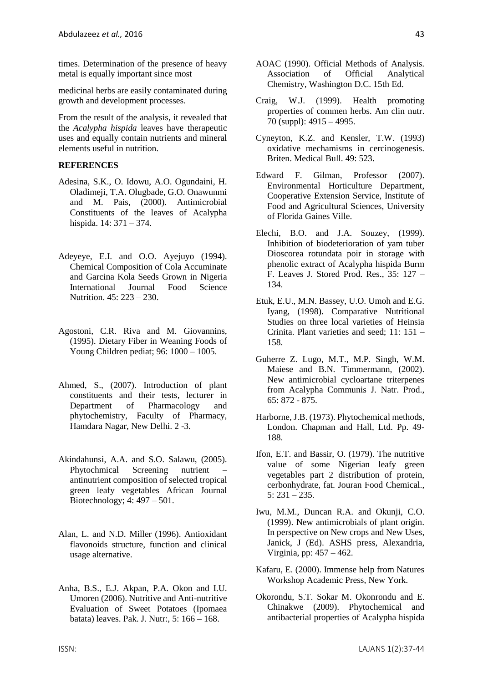times. Determination of the presence of heavy metal is equally important since most

medicinal herbs are easily contaminated during growth and development processes.

From the result of the analysis, it revealed that the *Acalypha hispida* leaves have therapeutic uses and equally contain nutrients and mineral elements useful in nutrition.

#### **REFERENCES**

- Adesina, S.K., O. Idowu, A.O. Ogundaini, H. Oladimeji, T.A. Olugbade, G.O. Onawunmi and M. Pais, (2000). Antimicrobial Constituents of the leaves of Acalypha hispida. 14: 371 – 374.
- Adeyeye, E.I. and O.O. Ayejuyo (1994). Chemical Composition of Cola Accuminate and Garcina Kola Seeds Grown in Nigeria International Journal Food Science Nutrition. 45: 223 – 230.
- Agostoni, C.R. Riva and M. Giovannins, (1995). Dietary Fiber in Weaning Foods of Young Children pediat; 96: 1000 – 1005.
- Ahmed, S., (2007). Introduction of plant constituents and their tests, lecturer in Department of Pharmacology and phytochemistry, Faculty of Pharmacy, Hamdara Nagar, New Delhi. 2 -3.
- Akindahunsi, A.A. and S.O. Salawu, (2005). Phytochmical Screening nutrient antinutrient composition of selected tropical green leafy vegetables African Journal Biotechnology; 4: 497 – 501.
- Alan, L. and N.D. Miller (1996). Antioxidant flavonoids structure, function and clinical usage alternative.
- Anha, B.S., E.J. Akpan, P.A. Okon and I.U. Umoren (2006). Nutritive and Anti-nutritive Evaluation of Sweet Potatoes (Ipomaea batata) leaves. Pak. J. Nutr:, 5: 166 – 168.
- AOAC (1990). Official Methods of Analysis. Association of Official Analytical Chemistry, Washington D.C. 15th Ed.
- Craig, W.J. (1999). Health promoting properties of commen herbs. Am clin nutr. 70 (suppl): 4915 – 4995.
- Cyneyton, K.Z. and Kensler, T.W. (1993) oxidative mechamisms in cercinogenesis. Briten. Medical Bull. 49: 523.
- Edward F. Gilman, Professor (2007). Environmental Horticulture Department, Cooperative Extension Service, Institute of Food and Agricultural Sciences, University of Florida Gaines Ville.
- Elechi, B.O. and J.A. Souzey, (1999). Inhibition of biodeterioration of yam tuber Dioscorea rotundata poir in storage with phenolic extract of Acalypha hispida Burm F. Leaves J. Stored Prod. Res., 35: 127 – 134.
- Etuk, E.U., M.N. Bassey, U.O. Umoh and E.G. Iyang, (1998). Comparative Nutritional Studies on three local varieties of Heinsia Crinita. Plant varieties and seed; 11: 151 – 158.
- Guherre Z. Lugo, M.T., M.P. Singh, W.M. Maiese and B.N. Timmermann, (2002). New antimicrobial cycloartane triterpenes from Acalypha Communis J. Natr. Prod., 65: 872 - 875.
- Harborne, J.B. (1973). Phytochemical methods, London. Chapman and Hall, Ltd. Pp. 49- 188.
- Ifon, E.T. and Bassir, O. (1979). The nutritive value of some Nigerian leafy green vegetables part 2 distribution of protein, cerbonhydrate, fat. Jouran Food Chemical.,  $5: 231 - 235.$
- Iwu, M.M., Duncan R.A. and Okunji, C.O. (1999). New antimicrobials of plant origin. In perspective on New crops and New Uses, Janick, J (Ed). ASHS press, Alexandria, Virginia, pp: 457 – 462.
- Kafaru, E. (2000). Immense help from Natures Workshop Academic Press, New York.
- Okorondu, S.T. Sokar M. Okonrondu and E. Chinakwe (2009). Phytochemical and antibacterial properties of Acalypha hispida